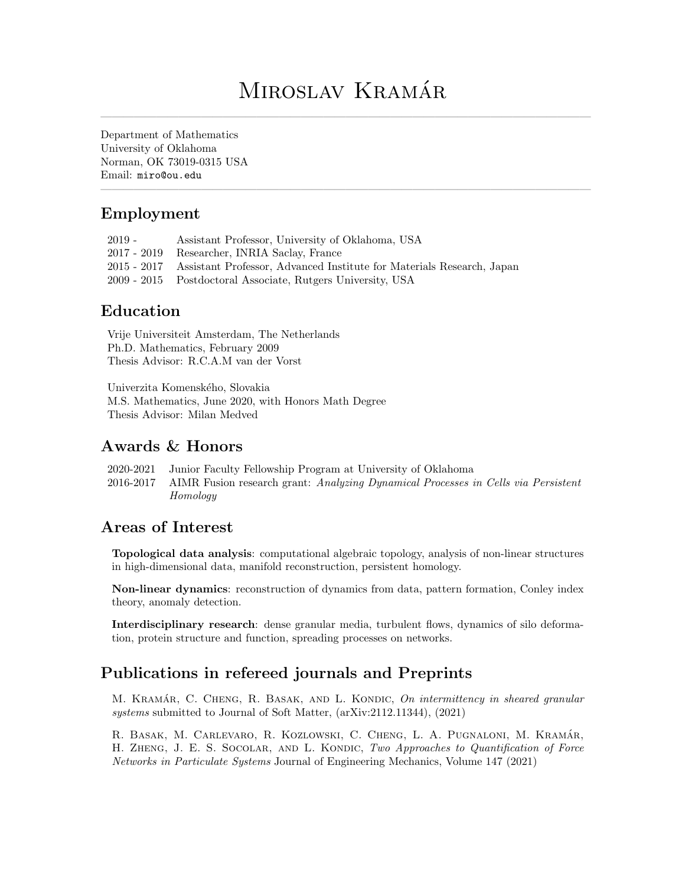# MIROSLAV KRAMÁR

————————————————————————————————————————————

————————————————————————————————————————————

Department of Mathematics University of Oklahoma Norman, OK 73019-0315 USA Email: [miro@ou.edu](mailto: miro@ou.edu)

### Employment

2019 - Assistant Professor, University of Oklahoma, USA 2017 - 2019 Researcher, INRIA Saclay, France 2015 - 2017 Assistant Professor, Advanced Institute for Materials Research, Japan 2009 - 2015 Postdoctoral Associate, Rutgers University, USA

### Education

Vrije Universiteit Amsterdam, The Netherlands Ph.D. Mathematics, February 2009 Thesis Advisor: R.C.A.M van der Vorst

Univerzita Komenského, Slovakia M.S. Mathematics, June 2020, with Honors Math Degree Thesis Advisor: Milan Medved

### Awards & Honors

2020-2021 Junior Faculty Fellowship Program at University of Oklahoma 2016-2017 AIMR Fusion research grant: Analyzing Dynamical Processes in Cells via Persistent Homology

# Areas of Interest

Topological data analysis: computational algebraic topology, analysis of non-linear structures in high-dimensional data, manifold reconstruction, persistent homology.

Non-linear dynamics: reconstruction of dynamics from data, pattern formation, Conley index theory, anomaly detection.

Interdisciplinary research: dense granular media, turbulent flows, dynamics of silo deformation, protein structure and function, spreading processes on networks.

# Publications in refereed journals and Preprints

M. KRAMÁR, C. CHENG, R. BASAK, AND L. KONDIC, On intermittency in sheared granular systems submitted to Journal of Soft Matter, (arXiv:2112.11344), (2021)

R. BASAK, M. CARLEVARO, R. KOZLOWSKI, C. CHENG, L. A. PUGNALONI, M. KRAMÁR, H. ZHENG, J. E. S. SOCOLAR, AND L. KONDIC, Two Approaches to Quantification of Force Networks in Particulate Systems Journal of Engineering Mechanics, Volume 147 (2021)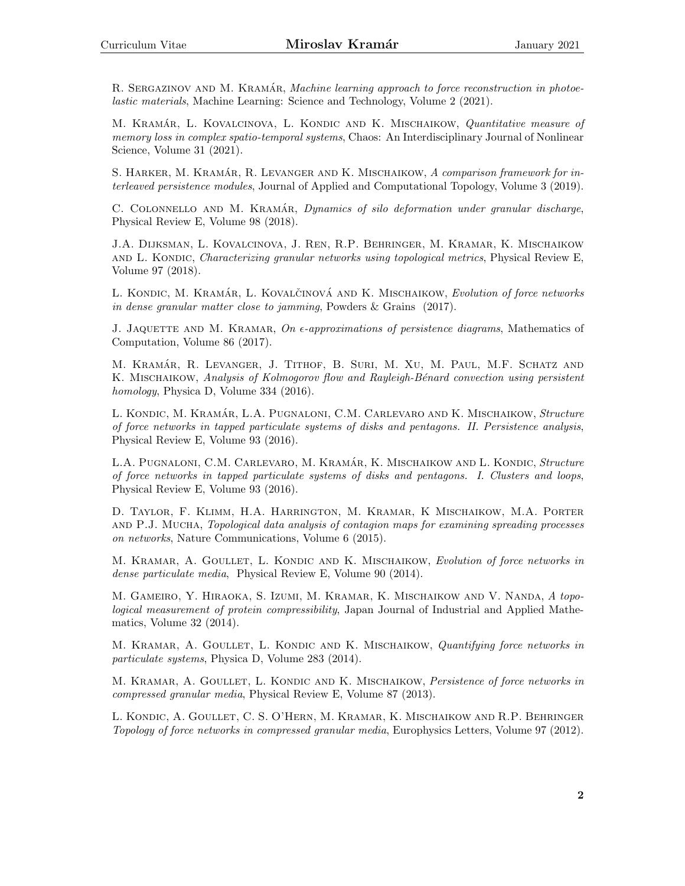R. SERGAZINOV AND M. KRAMÁR, Machine learning approach to force reconstruction in photoelastic materials, Machine Learning: Science and Technology, Volume 2 (2021).

M. KRAMÁR, L. KOVALCINOVA, L. KONDIC AND K. MISCHAIKOW, Quantitative measure of memory loss in complex spatio-temporal systems, Chaos: An Interdisciplinary Journal of Nonlinear Science, Volume 31 (2021).

S. HARKER, M. KRAMÁR, R. LEVANGER AND K. MISCHAIKOW, A comparison framework for interleaved persistence modules, Journal of Applied and Computational Topology, Volume 3 (2019).

C. COLONNELLO AND M. KRAMÁR, Dynamics of silo deformation under granular discharge, Physical Review E, Volume 98 (2018).

J.A. Dijksman, L. Kovalcinova, J. Ren, R.P. Behringer, M. Kramar, K. Mischaikow and L. Kondic, Characterizing granular networks using topological metrics, Physical Review E, Volume 97 (2018).

L. KONDIC, M. KRAMÁR, L. KOVALČINOVÁ AND K. MISCHAIKOW, Evolution of force networks in dense granular matter close to jamming, Powders & Grains (2017).

J. JAQUETTE AND M. KRAMAR, On  $\epsilon$ -approximations of persistence diagrams, Mathematics of Computation, Volume 86 (2017).

M. KRAMÁR, R. LEVANGER, J. TITHOF, B. SURI, M. XU, M. PAUL, M.F. SCHATZ AND K. MISCHAIKOW, Analysis of Kolmogorov flow and Rayleigh-Bénard convection using persistent homology, Physica D, Volume 334 (2016).

L. KONDIC, M. KRAMÁR, L.A. PUGNALONI, C.M. CARLEVARO AND K. MISCHAIKOW, Structure of force networks in tapped particulate systems of disks and pentagons. II. Persistence analysis, Physical Review E, Volume 93 (2016).

L.A. PUGNALONI, C.M. CARLEVARO, M. KRAMÁR, K. MISCHAIKOW AND L. KONDIC, Structure of force networks in tapped particulate systems of disks and pentagons. I. Clusters and loops, Physical Review E, Volume 93 (2016).

D. Taylor, F. Klimm, H.A. Harrington, M. Kramar, K Mischaikow, M.A. Porter and P.J. Mucha, Topological data analysis of contagion maps for examining spreading processes on networks, Nature Communications, Volume 6 (2015).

M. KRAMAR, A. GOULLET, L. KONDIC AND K. MISCHAIKOW, Evolution of force networks in dense particulate media, Physical Review E, Volume 90 (2014).

M. Gameiro, Y. Hiraoka, S. Izumi, M. Kramar, K. Mischaikow and V. Nanda, A topological measurement of protein compressibility, Japan Journal of Industrial and Applied Mathematics, Volume 32 (2014).

M. KRAMAR, A. GOULLET, L. KONDIC AND K. MISCHAIKOW, Quantifying force networks in particulate systems, Physica D, Volume 283 (2014).

M. KRAMAR, A. GOULLET, L. KONDIC AND K. MISCHAIKOW, Persistence of force networks in compressed granular media, Physical Review E, Volume 87 (2013).

L. Kondic, A. Goullet, C. S. O'Hern, M. Kramar, K. Mischaikow and R.P. Behringer Topology of force networks in compressed granular media, Europhysics Letters, Volume 97 (2012).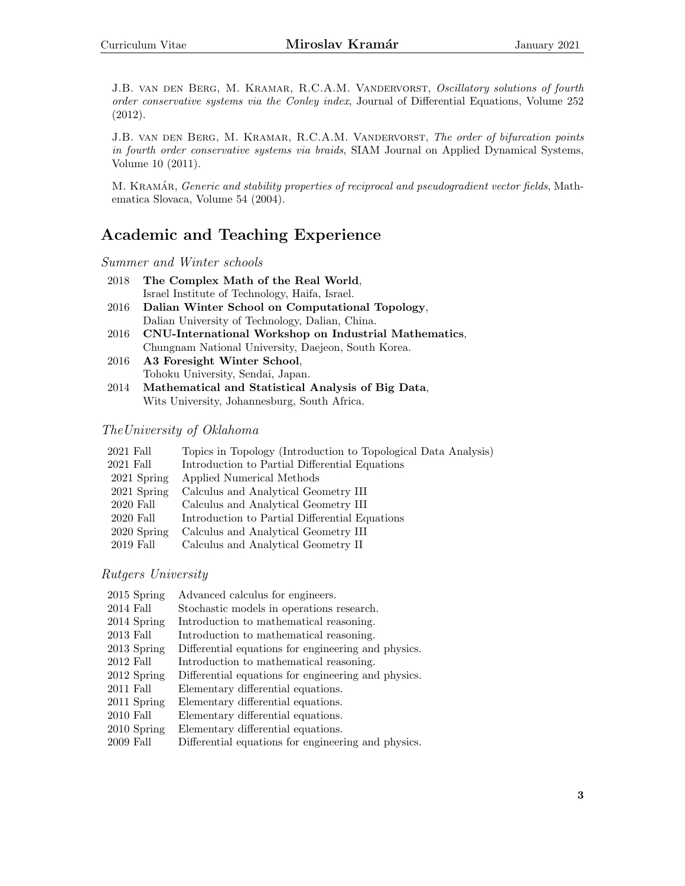J.B. VAN DEN BERG, M. KRAMAR, R.C.A.M. VANDERVORST, Oscillatory solutions of fourth order conservative systems via the Conley index, Journal of Differential Equations, Volume 252 (2012).

J.B. VAN DEN BERG, M. KRAMAR, R.C.A.M. VANDERVORST, The order of bifurcation points in fourth order conservative systems via braids, SIAM Journal on Applied Dynamical Systems, Volume 10 (2011).

M. KRAMÁR, Generic and stability properties of reciprocal and pseudogradient vector fields, Mathematica Slovaca, Volume 54 (2004).

### Academic and Teaching Experience

#### Summer and Winter schools

| 2018 | The Complex Math of the Real World,                                                                    |
|------|--------------------------------------------------------------------------------------------------------|
|      | Israel Institute of Technology, Haifa, Israel.                                                         |
| 2016 | Dalian Winter School on Computational Topology.                                                        |
|      | Dalian University of Technology, Dalian, China.                                                        |
|      | 2016 CNU-International Workshop on Industrial Mathematics,                                             |
|      | $\mathbf{r}$ , $\mathbf{r}$ , $\mathbf{r}$ , $\mathbf{r}$ , $\mathbf{r}$ , $\mathbf{r}$ , $\mathbf{r}$ |

Chungnam National University, Daejeon, South Korea. 2016 A3 Foresight Winter School,

Tohoku University, Sendai, Japan.

2014 Mathematical and Statistical Analysis of Big Data, Wits University, Johannesburg, South Africa.

#### TheUniversity of Oklahoma

| $2021$ Fall | Topics in Topology (Introduction to Topological Data Analysis) |
|-------------|----------------------------------------------------------------|
| $2021$ Fall | Introduction to Partial Differential Equations                 |
| 2021 Spring | Applied Numerical Methods                                      |
| 2021 Spring | Calculus and Analytical Geometry III                           |
| 2020 Fall   | Calculus and Analytical Geometry III                           |
| 2020 Fall   | Introduction to Partial Differential Equations                 |
| 2020 Spring | Calculus and Analytical Geometry III                           |
| 2019 Fall   | Calculus and Analytical Geometry II                            |

Rutgers University

| $2015$ Spring | Advanced calculus for engineers.                    |
|---------------|-----------------------------------------------------|
| $2014$ Fall   | Stochastic models in operations research.           |
| 2014 Spring   | Introduction to mathematical reasoning.             |
| $2013$ Fall   | Introduction to mathematical reasoning.             |
| 2013 Spring   | Differential equations for engineering and physics. |
| $2012$ Fall   | Introduction to mathematical reasoning.             |
| 2012 Spring   | Differential equations for engineering and physics. |
| $2011$ Fall   | Elementary differential equations.                  |
| 2011 Spring   | Elementary differential equations.                  |
| $2010$ Fall   | Elementary differential equations.                  |
| 2010 Spring   | Elementary differential equations.                  |
| $2009$ Fall   | Differential equations for engineering and physics. |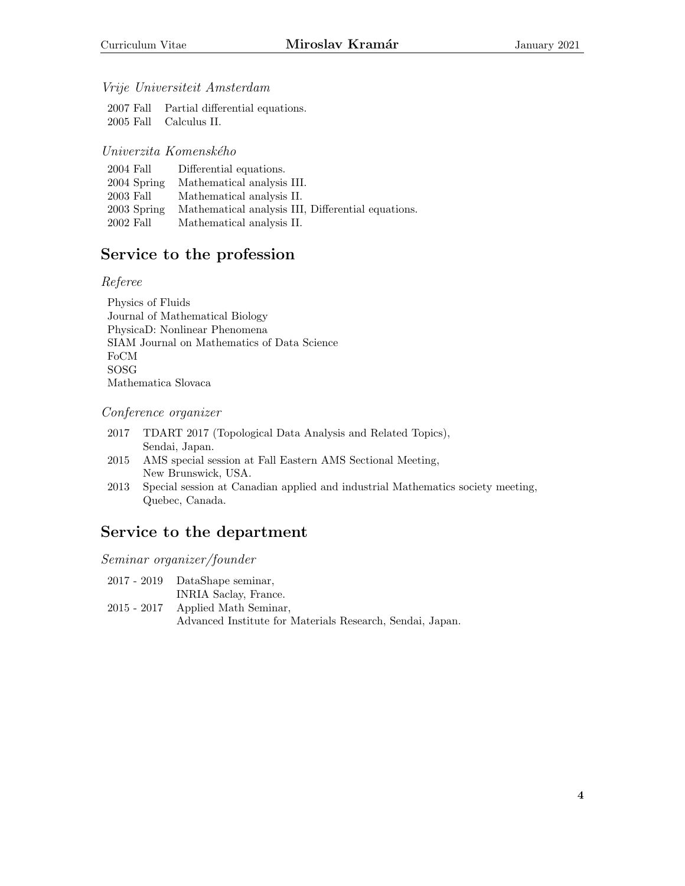#### Vrije Universiteit Amsterdam

2007 Fall Partial differential equations. 2005 Fall Calculus II.

#### Univerzita Komenského

| 2004 Fall   | Differential equations.                            |
|-------------|----------------------------------------------------|
| 2004 Spring | Mathematical analysis III.                         |
| 2003 Fall   | Mathematical analysis II.                          |
| 2003 Spring | Mathematical analysis III, Differential equations. |
| 2002 Fall   | Mathematical analysis II.                          |

# Service to the profession

#### Referee

Physics of Fluids Journal of Mathematical Biology PhysicaD: Nonlinear Phenomena SIAM Journal on Mathematics of Data Science FoCM SOSG Mathematica Slovaca

#### Conference organizer

| 2017 | TDART 2017 (Topological Data Analysis and Related Topics),      |
|------|-----------------------------------------------------------------|
|      | Sendai, Japan.                                                  |
|      | 2015 AMS special session at Fall Eastern AMS Sectional Meeting, |

New Brunswick, USA. 2013 Special session at Canadian applied and industrial Mathematics society meeting, Quebec, Canada.

### Service to the department

Seminar organizer/founder

|  |  | $2017 - 2019$ | DataShape seminar, |  |
|--|--|---------------|--------------------|--|
|--|--|---------------|--------------------|--|

INRIA Saclay, France. 2015 - 2017 Applied Math Seminar, Advanced Institute for Materials Research, Sendai, Japan.